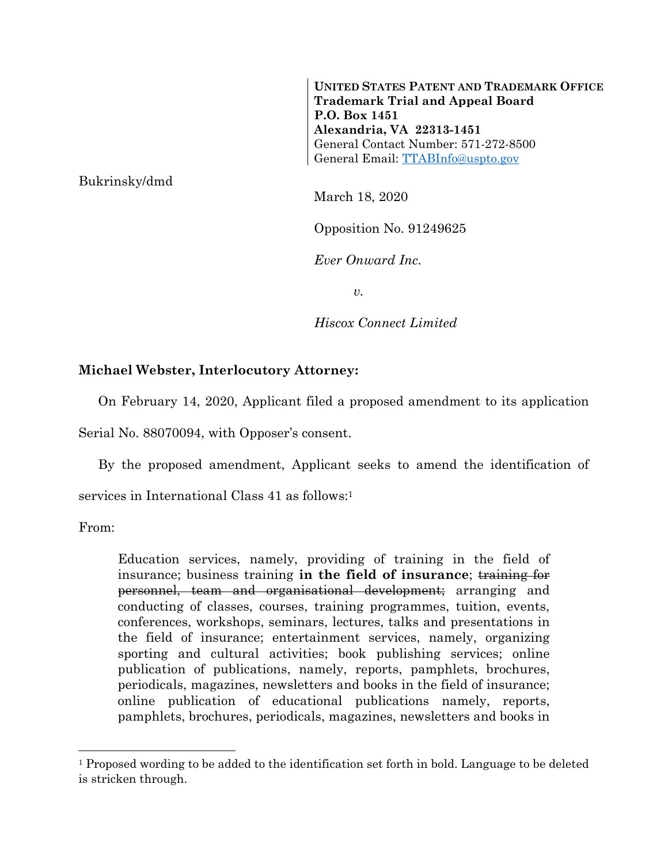**UNITED STATES PATENT AND TRADEMARK OFFICE Trademark Trial and Appeal Board P.O. Box 1451 Alexandria, VA 22313-1451**  General Contact Number: 571-272-8500 General Email: TTABInfo@uspto.gov

Bukrinsky/dmd

March 18, 2020

Opposition No. 91249625

*Ever Onward Inc.* 

*v.* 

*Hiscox Connect Limited* 

## **Michael Webster, Interlocutory Attorney:**

On February 14, 2020, Applicant filed a proposed amendment to its application

Serial No. 88070094, with Opposer's consent.

By the proposed amendment, Applicant seeks to amend the identification of

services in International Class 41 as follows:1

From:

 $\overline{a}$ 

Education services, namely, providing of training in the field of insurance; business training in the field of insurance; training for personnel, team and organisational development; arranging and conducting of classes, courses, training programmes, tuition, events, conferences, workshops, seminars, lectures, talks and presentations in the field of insurance; entertainment services, namely, organizing sporting and cultural activities; book publishing services; online publication of publications, namely, reports, pamphlets, brochures, periodicals, magazines, newsletters and books in the field of insurance; online publication of educational publications namely, reports, pamphlets, brochures, periodicals, magazines, newsletters and books in

<sup>1</sup> Proposed wording to be added to the identification set forth in bold. Language to be deleted is stricken through.